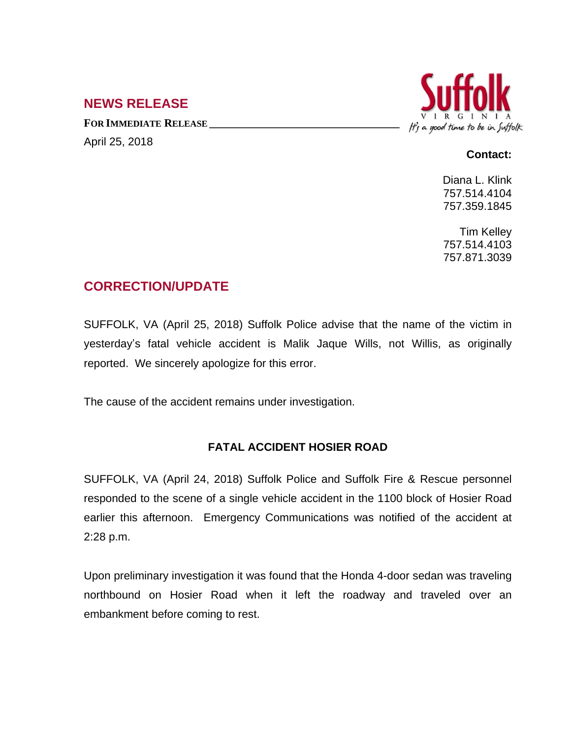## **NEWS RELEASE**

**FOR IMMEDIATE RELEASE \_\_\_\_\_\_\_\_\_\_\_\_\_\_\_\_\_\_\_\_\_\_\_\_\_\_\_\_\_\_\_\_\_\_** April 25, 2018



## **Contact:**

Diana L. Klink 757.514.4104 757.359.1845

Tim Kelley 757.514.4103 757.871.3039

## **CORRECTION/UPDATE**

SUFFOLK, VA (April 25, 2018) Suffolk Police advise that the name of the victim in yesterday's fatal vehicle accident is Malik Jaque Wills, not Willis, as originally reported. We sincerely apologize for this error.

The cause of the accident remains under investigation.

## **FATAL ACCIDENT HOSIER ROAD**

SUFFOLK, VA (April 24, 2018) Suffolk Police and Suffolk Fire & Rescue personnel responded to the scene of a single vehicle accident in the 1100 block of Hosier Road earlier this afternoon. Emergency Communications was notified of the accident at 2:28 p.m.

Upon preliminary investigation it was found that the Honda 4-door sedan was traveling northbound on Hosier Road when it left the roadway and traveled over an embankment before coming to rest.